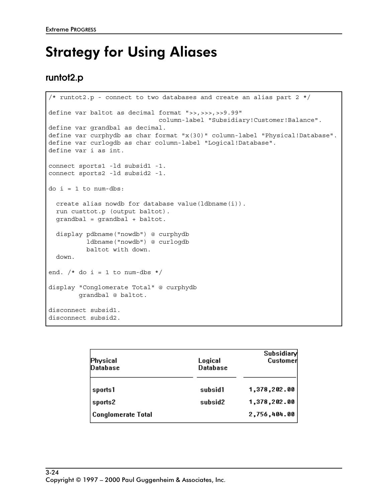## Strategy for Using Aliases

### **runtot2.p**

```
/* runtot2.p - connect to two databases and create an alias part 2 */define var baltot as decimal format ">>,>>>,>>9.99"
                              column-label "Subsidiary!Customer!Balance".
define var grandbal as decimal.
define var curphydb as char format "x(30)" column-label "Physical!Database".
define var curlogdb as char column-label "Logical!Database".
define var i as int.
connect sports1 -ld subsid1 -1.
connect sports2 -ld subsid2 -1.
do i = 1 to num-dbs:
   create alias nowdb for database value(ldbname(i)).
  run custtot.p (output baltot).
   grandbal = grandbal + baltot.
   display pdbname("nowdb") @ curphydb
           ldbname("nowdb") @ curlogdb
           baltot with down.
   down.
end. /* do i = 1 to num-dbs */display "Conglomerate Total" @ curphydb
         grandbal @ baltot.
disconnect subsid1.
disconnect subsid2.
```

| Physical<br><b>Database</b> | Logical<br><b>Database</b> | Subsidiary<br>Customer |
|-----------------------------|----------------------------|------------------------|
| sports1                     | subsid1                    | 1,378,202.00           |
| sports2                     | subsid2                    | 1,378,202.00           |
| Conglomerate Total          |                            | 2,756,404.00           |